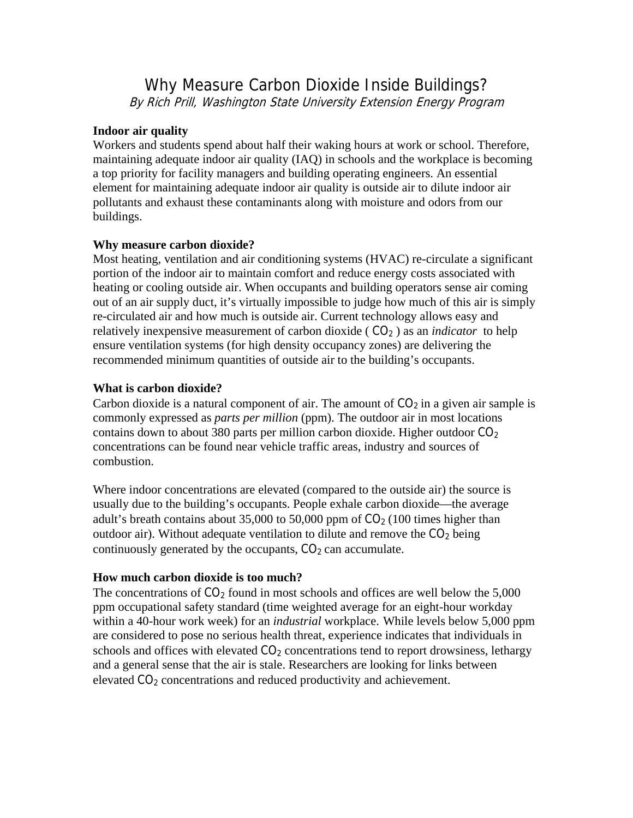# Why Measure Carbon Dioxide Inside Buildings? By Rich Prill, Washington State University Extension Energy Program

## **Indoor air quality**

Workers and students spend about half their waking hours at work or school. Therefore, maintaining adequate indoor air quality (IAQ) in schools and the workplace is becoming a top priority for facility managers and building operating engineers. An essential element for maintaining adequate indoor air quality is outside air to dilute indoor air pollutants and exhaust these contaminants along with moisture and odors from our buildings.

#### **Why measure carbon dioxide?**

Most heating, ventilation and air conditioning systems (HVAC) re-circulate a significant portion of the indoor air to maintain comfort and reduce energy costs associated with heating or cooling outside air. When occupants and building operators sense air coming out of an air supply duct, it's virtually impossible to judge how much of this air is simply re-circulated air and how much is outside air. Current technology allows easy and relatively inexpensive measurement of carbon dioxide ( CO2 ) as an *indicator* to help ensure ventilation systems (for high density occupancy zones) are delivering the recommended minimum quantities of outside air to the building's occupants.

## **What is carbon dioxide?**

Carbon dioxide is a natural component of air. The amount of  $CO<sub>2</sub>$  in a given air sample is commonly expressed as *parts per million* (ppm). The outdoor air in most locations contains down to about 380 parts per million carbon dioxide. Higher outdoor  $CO<sub>2</sub>$ concentrations can be found near vehicle traffic areas, industry and sources of combustion.

Where indoor concentrations are elevated (compared to the outside air) the source is usually due to the building's occupants. People exhale carbon dioxide—the average adult's breath contains about 35,000 to 50,000 ppm of  $CO<sub>2</sub>$  (100 times higher than outdoor air). Without adequate ventilation to dilute and remove the  $CO<sub>2</sub>$  being continuously generated by the occupants,  $CO<sub>2</sub>$  can accumulate.

# **How much carbon dioxide is too much?**

The concentrations of  $CO<sub>2</sub>$  found in most schools and offices are well below the 5,000 ppm occupational safety standard (time weighted average for an eight-hour workday within a 40-hour work week) for an *industrial* workplace. While levels below 5,000 ppm are considered to pose no serious health threat, experience indicates that individuals in schools and offices with elevated  $CO<sub>2</sub>$  concentrations tend to report drowsiness, lethargy and a general sense that the air is stale. Researchers are looking for links between elevated CO<sub>2</sub> concentrations and reduced productivity and achievement.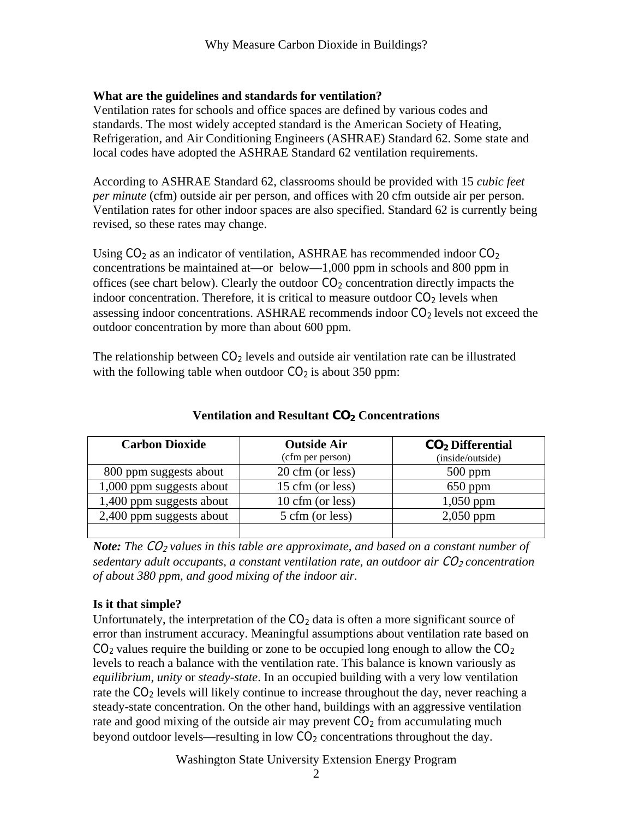# **What are the guidelines and standards for ventilation?**

Ventilation rates for schools and office spaces are defined by various codes and standards. The most widely accepted standard is the American Society of Heating, Refrigeration, and Air Conditioning Engineers (ASHRAE) Standard 62. Some state and local codes have adopted the ASHRAE Standard 62 ventilation requirements.

According to ASHRAE Standard 62, classrooms should be provided with 15 *cubic feet per minute* (cfm) outside air per person, and offices with 20 cfm outside air per person. Ventilation rates for other indoor spaces are also specified. Standard 62 is currently being revised, so these rates may change.

Using  $CO<sub>2</sub>$  as an indicator of ventilation, ASHRAE has recommended indoor  $CO<sub>2</sub>$ concentrations be maintained at—or below—1,000 ppm in schools and 800 ppm in offices (see chart below). Clearly the outdoor  $CO<sub>2</sub>$  concentration directly impacts the indoor concentration. Therefore, it is critical to measure outdoor  $CO<sub>2</sub>$  levels when assessing indoor concentrations. ASHRAE recommends indoor  $CO<sub>2</sub>$  levels not exceed the outdoor concentration by more than about 600 ppm.

The relationship between  $CO<sub>2</sub>$  levels and outside air ventilation rate can be illustrated with the following table when outdoor  $CO<sub>2</sub>$  is about 350 ppm:

| <b>Carbon Dioxide</b>    | <b>Outside Air</b> | $CO2$ Differential |
|--------------------------|--------------------|--------------------|
|                          | (cfm per person)   | (inside/outside)   |
| 800 ppm suggests about   | 20 cfm (or less)   | $500$ ppm          |
| 1,000 ppm suggests about | 15 cfm (or less)   | $650$ ppm          |
| 1,400 ppm suggests about | 10 cfm (or less)   | $1,050$ ppm        |
| 2,400 ppm suggests about | 5 cfm (or less)    | $2,050$ ppm        |
|                          |                    |                    |

**Ventilation and Resultant CO2 Concentrations** 

*Note: The CO<sub>2</sub> values in this table are approximate, and based on a constant number of sedentary adult occupants, a constant ventilation rate, an outdoor air CO<sub>2</sub> concentration of about 380 ppm, and good mixing of the indoor air.* 

# **Is it that simple?**

Unfortunately, the interpretation of the  $CO<sub>2</sub>$  data is often a more significant source of error than instrument accuracy. Meaningful assumptions about ventilation rate based on  $CO<sub>2</sub>$  values require the building or zone to be occupied long enough to allow the  $CO<sub>2</sub>$ levels to reach a balance with the ventilation rate. This balance is known variously as *equilibrium*, *unity* or *steady-state*. In an occupied building with a very low ventilation rate the  $CO<sub>2</sub>$  levels will likely continue to increase throughout the day, never reaching a steady-state concentration. On the other hand, buildings with an aggressive ventilation rate and good mixing of the outside air may prevent  $CO<sub>2</sub>$  from accumulating much beyond outdoor levels—resulting in low  $CO<sub>2</sub>$  concentrations throughout the day.

Washington State University Extension Energy Program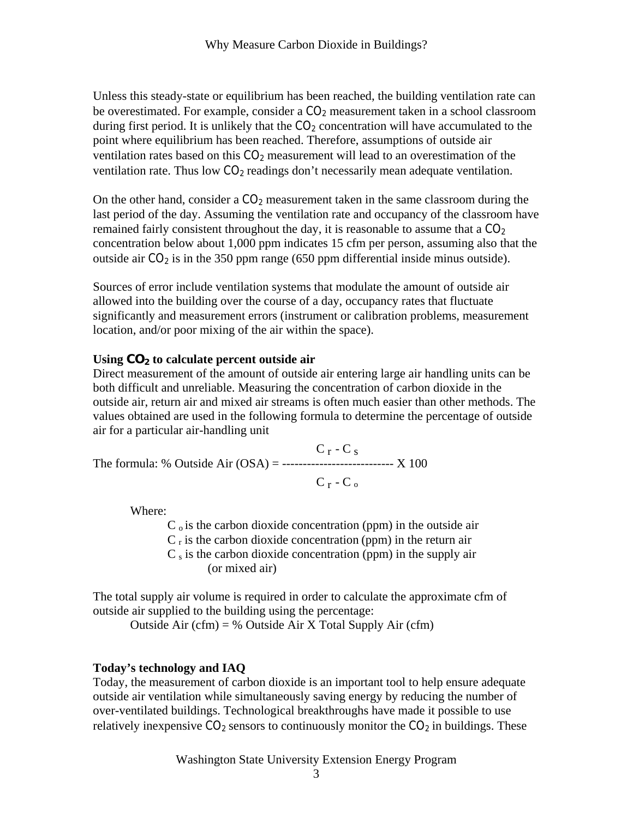Unless this steady-state or equilibrium has been reached, the building ventilation rate can be overestimated. For example, consider a  $CO<sub>2</sub>$  measurement taken in a school classroom during first period. It is unlikely that the  $CO<sub>2</sub>$  concentration will have accumulated to the point where equilibrium has been reached. Therefore, assumptions of outside air ventilation rates based on this  $CO<sub>2</sub>$  measurement will lead to an overestimation of the ventilation rate. Thus low  $CO<sub>2</sub>$  readings don't necessarily mean adequate ventilation.

On the other hand, consider a  $CO<sub>2</sub>$  measurement taken in the same classroom during the last period of the day. Assuming the ventilation rate and occupancy of the classroom have remained fairly consistent throughout the day, it is reasonable to assume that a  $CO<sub>2</sub>$ concentration below about 1,000 ppm indicates 15 cfm per person, assuming also that the outside air  $CO<sub>2</sub>$  is in the 350 ppm range (650 ppm differential inside minus outside).

Sources of error include ventilation systems that modulate the amount of outside air allowed into the building over the course of a day, occupancy rates that fluctuate significantly and measurement errors (instrument or calibration problems, measurement location, and/or poor mixing of the air within the space).

## **Using CO2 to calculate percent outside air**

Direct measurement of the amount of outside air entering large air handling units can be both difficult and unreliable. Measuring the concentration of carbon dioxide in the outside air, return air and mixed air streams is often much easier than other methods. The values obtained are used in the following formula to determine the percentage of outside air for a particular air-handling unit

 $C_r - C_s$ The formula: % Outside Air  $(OSA)$  = ----------------------------- X 100  $C_r$  -  $C_o$ 

Where:

 $C<sub>o</sub>$  is the carbon dioxide concentration (ppm) in the outside air  $C_r$  is the carbon dioxide concentration (ppm) in the return air  $C_s$  is the carbon dioxide concentration (ppm) in the supply air (or mixed air)

The total supply air volume is required in order to calculate the approximate cfm of outside air supplied to the building using the percentage:

Outside Air (cfm) = % Outside Air X Total Supply Air (cfm)

# **Today's technology and IAQ**

Today, the measurement of carbon dioxide is an important tool to help ensure adequate outside air ventilation while simultaneously saving energy by reducing the number of over-ventilated buildings. Technological breakthroughs have made it possible to use relatively inexpensive  $CO_2$  sensors to continuously monitor the  $CO_2$  in buildings. These

Washington State University Extension Energy Program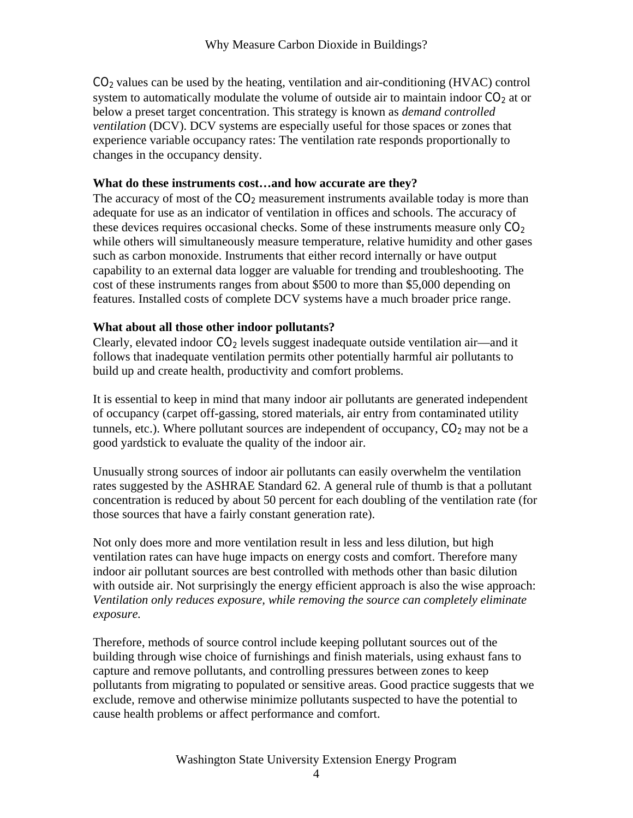$CO<sub>2</sub>$  values can be used by the heating, ventilation and air-conditioning (HVAC) control system to automatically modulate the volume of outside air to maintain indoor  $CO<sub>2</sub>$  at or below a preset target concentration. This strategy is known as *demand controlled ventilation* (DCV). DCV systems are especially useful for those spaces or zones that experience variable occupancy rates: The ventilation rate responds proportionally to changes in the occupancy density.

## **What do these instruments cost…and how accurate are they?**

The accuracy of most of the  $CO<sub>2</sub>$  measurement instruments available today is more than adequate for use as an indicator of ventilation in offices and schools. The accuracy of these devices requires occasional checks. Some of these instruments measure only  $CO<sub>2</sub>$ while others will simultaneously measure temperature, relative humidity and other gases such as carbon monoxide. Instruments that either record internally or have output capability to an external data logger are valuable for trending and troubleshooting. The cost of these instruments ranges from about \$500 to more than \$5,000 depending on features. Installed costs of complete DCV systems have a much broader price range.

# **What about all those other indoor pollutants?**

Clearly, elevated indoor  $CO<sub>2</sub>$  levels suggest inadequate outside ventilation air—and it follows that inadequate ventilation permits other potentially harmful air pollutants to build up and create health, productivity and comfort problems.

It is essential to keep in mind that many indoor air pollutants are generated independent of occupancy (carpet off-gassing, stored materials, air entry from contaminated utility tunnels, etc.). Where pollutant sources are independent of occupancy,  $CO<sub>2</sub>$  may not be a good yardstick to evaluate the quality of the indoor air.

Unusually strong sources of indoor air pollutants can easily overwhelm the ventilation rates suggested by the ASHRAE Standard 62. A general rule of thumb is that a pollutant concentration is reduced by about 50 percent for each doubling of the ventilation rate (for those sources that have a fairly constant generation rate).

Not only does more and more ventilation result in less and less dilution, but high ventilation rates can have huge impacts on energy costs and comfort. Therefore many indoor air pollutant sources are best controlled with methods other than basic dilution with outside air. Not surprisingly the energy efficient approach is also the wise approach: *Ventilation only reduces exposure, while removing the source can completely eliminate exposure.*

Therefore, methods of source control include keeping pollutant sources out of the building through wise choice of furnishings and finish materials, using exhaust fans to capture and remove pollutants, and controlling pressures between zones to keep pollutants from migrating to populated or sensitive areas. Good practice suggests that we exclude, remove and otherwise minimize pollutants suspected to have the potential to cause health problems or affect performance and comfort.